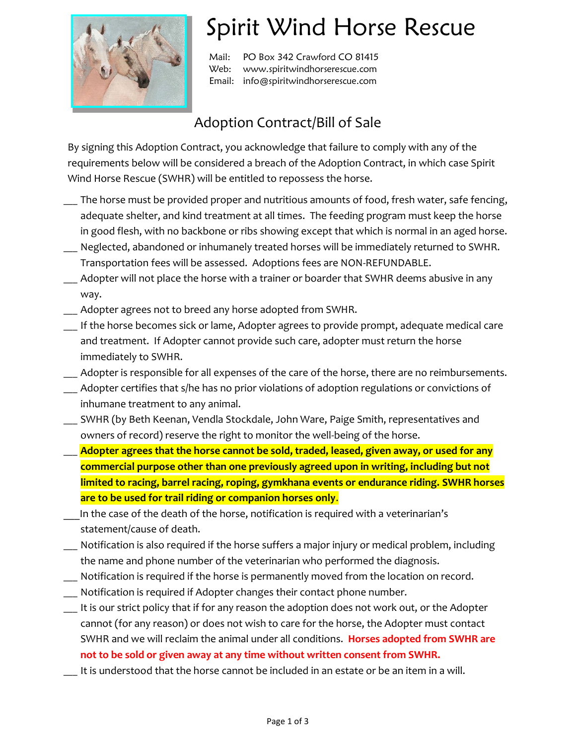

## Spirit Wind Horse Rescue

Mail: PO Box 342 Crawford CO 81415 Web: www.spiritwindhorserescue.com Email: info@spiritwindhorserescue.com

## Adoption Contract/Bill of Sale

By signing this Adoption Contract, you acknowledge that failure to comply with any of the requirements below will be considered a breach of the Adoption Contract, in which case Spirit Wind Horse Rescue (SWHR) will be entitled to repossess the horse.

- \_\_\_ The horse must be provided proper and nutritious amounts of food, fresh water, safe fencing, adequate shelter, and kind treatment at all times. The feeding program must keep the horse in good flesh, with no backbone or ribs showing except that which is normal in an aged horse.
- Neglected, abandoned or inhumanely treated horses will be immediately returned to SWHR. Transportation fees will be assessed. Adoptions fees are NON-REFUNDABLE.
- \_\_\_ Adopter will not place the horse with a trainer or boarder that SWHR deems abusive in any way.
- \_\_\_ Adopter agrees not to breed any horse adopted from SWHR.
- \_\_\_ If the horse becomes sick or lame, Adopter agrees to provide prompt, adequate medical care and treatment. If Adopter cannot provide such care, adopter must return the horse immediately to SWHR.
- \_\_\_ Adopter is responsible for all expenses of the care of the horse, there are no reimbursements.
- Adopter certifies that s/he has no prior violations of adoption regulations or convictions of inhumane treatment to any animal.
- \_\_\_ SWHR (by Beth Keenan, Vendla Stockdale, John Ware, Paige Smith, representatives and owners of record) reserve the right to monitor the well-being of the horse.
- Adopter agrees that the horse cannot be sold, traded, leased, given away, or used for any **commercial purpose other than one previously agreed upon in writing, including but not limited to racing, barrel racing, roping, gymkhana events or endurance riding. SWHR horses are to be used for trail riding or companion horses only**.
- In the case of the death of the horse, notification is required with a veterinarian's statement/cause of death.
- \_\_\_ Notification is also required if the horse suffers a major injury or medical problem, including the name and phone number of the veterinarian who performed the diagnosis.
- \_\_\_ Notification is required if the horse is permanently moved from the location on record.
- \_\_\_ Notification is required if Adopter changes their contact phone number.
- \_\_\_ It is our strict policy that if for any reason the adoption does not work out, or the Adopter cannot (for any reason) or does not wish to care for the horse, the Adopter must contact SWHR and we will reclaim the animal under all conditions. **Horses adopted from SWHR are not to be sold or given away at any time without written consent from SWHR.**
- \_\_\_ It is understood that the horse cannot be included in an estate or be an item in a will.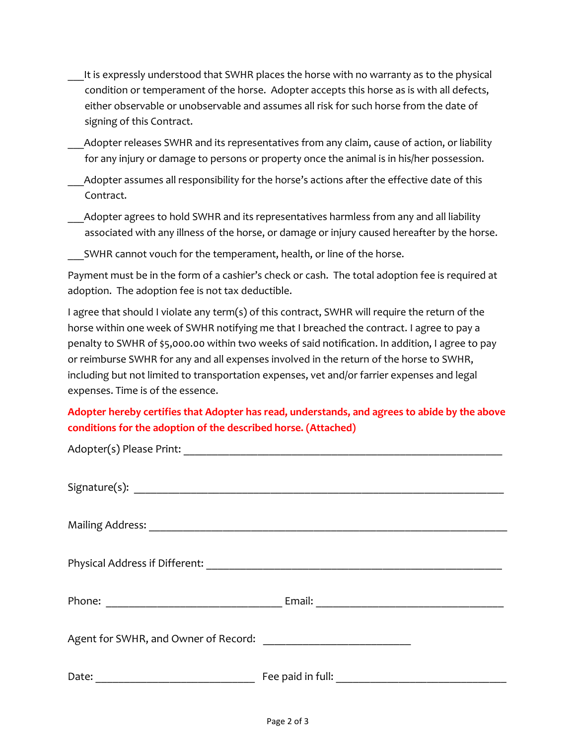- It is expressly understood that SWHR places the horse with no warranty as to the physical condition or temperament of the horse. Adopter accepts this horse as is with all defects, either observable or unobservable and assumes all risk for such horse from the date of signing of this Contract.
- Adopter releases SWHR and its representatives from any claim, cause of action, or liability for any injury or damage to persons or property once the animal is in his/her possession.
- Adopter assumes all responsibility for the horse's actions after the effective date of this Contract.
- Adopter agrees to hold SWHR and its representatives harmless from any and all liability associated with any illness of the horse, or damage or injury caused hereafter by the horse.

SWHR cannot vouch for the temperament, health, or line of the horse.

Payment must be in the form of a cashier's check or cash. The total adoption fee is required at adoption. The adoption fee is not tax deductible.

I agree that should I violate any term(s) of this contract, SWHR will require the return of the horse within one week of SWHR notifying me that I breached the contract. I agree to pay a penalty to SWHR of \$5,000.00 within two weeks of said notification. In addition, I agree to pay or reimburse SWHR for any and all expenses involved in the return of the horse to SWHR, including but not limited to transportation expenses, vet and/or farrier expenses and legal expenses. Time is of the essence.

## **Adopter hereby certifies that Adopter has read, understands, and agrees to abide by the above conditions for the adoption of the described horse. (Attached)**